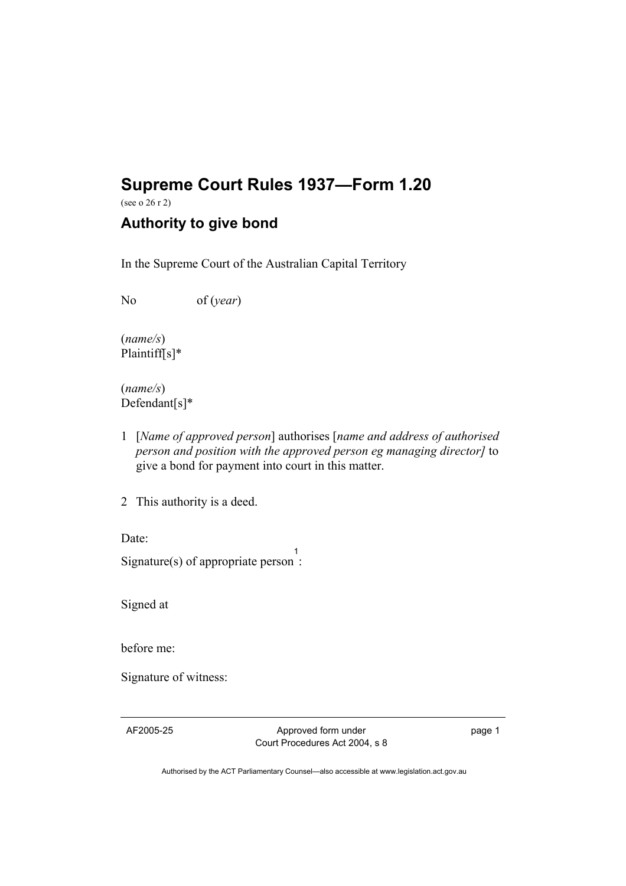## **Supreme Court Rules 1937—Form 1.20**

(see o 26 r 2)

## **Authority to give bond**

In the Supreme Court of the Australian Capital Territory

No of (*year*)

(*name/s*) Plaintiff[s]\*

(*name/s*) Defendant[s]\*

1 [*Name of approved person*] authorises [*name and address of authorised person and position with the approved person eg managing director]* to give a bond for payment into court in this matter.

2 This authority is a deed.

Date:

Signature(s) of appropriate person 1 :

Signed at

before me:

Signature of witness:

AF2005-25 Approved form under Court Procedures Act 2004, s 8 page 1

Authorised by the ACT Parliamentary Counsel—also accessible at www.legislation.act.gov.au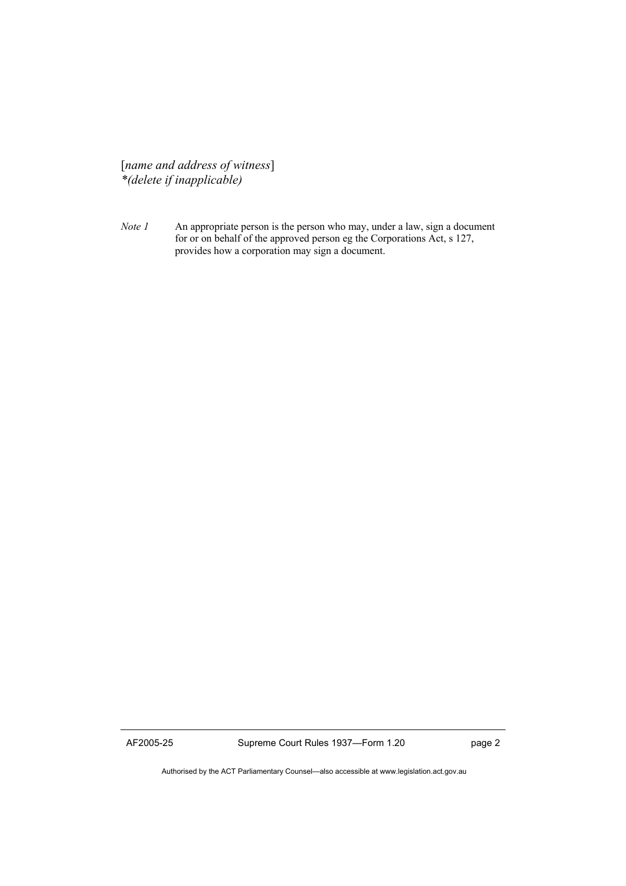[*name and address of witness*] *\*(delete if inapplicable)* 

*Note 1* An appropriate person is the person who may, under a law, sign a document for or on behalf of the approved person eg the Corporations Act, s 127, provides how a corporation may sign a document.

AF2005-25 Supreme Court Rules 1937—Form 1.20 page 2

Authorised by the ACT Parliamentary Counsel—also accessible at www.legislation.act.gov.au